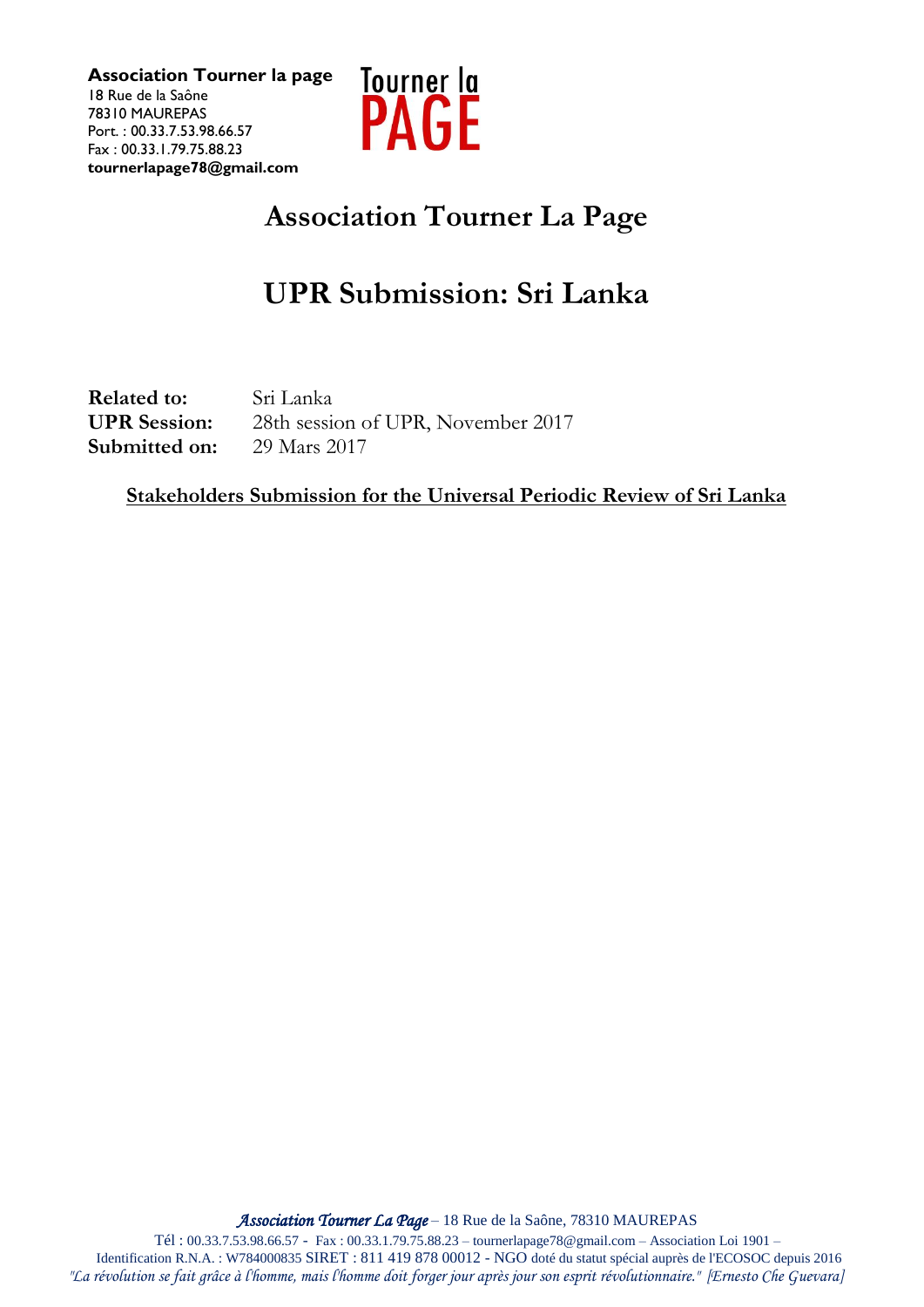

## **Association Tourner La Page**

## **UPR Submission: Sri Lanka**

**Related to:** Sri Lanka **UPR Session:** 28th session of UPR, November 2017 **Submitted on:** 29 Mars 2017

**Stakeholders Submission for the Universal Periodic Review of Sri Lanka**

*Association Tourner La Page* – 18 Rue de la Saône, 78310 MAUREPAS

Tél : 00.33.7.53.98.66.57 - Fax : 00.33.1.79.75.88.23 – tournerlapage78@gmail.com – Association Loi 1901 – Identification R.N.A. : W784000835 SIRET : 811 419 878 00012 - NGO doté du statut spécial auprès de l'ECOSOC depuis 2016 *"La révolution se fait grâce à l'homme, mais l'homme doit forger jour après jour son esprit révolutionnaire." [Ernesto Che Guevara]*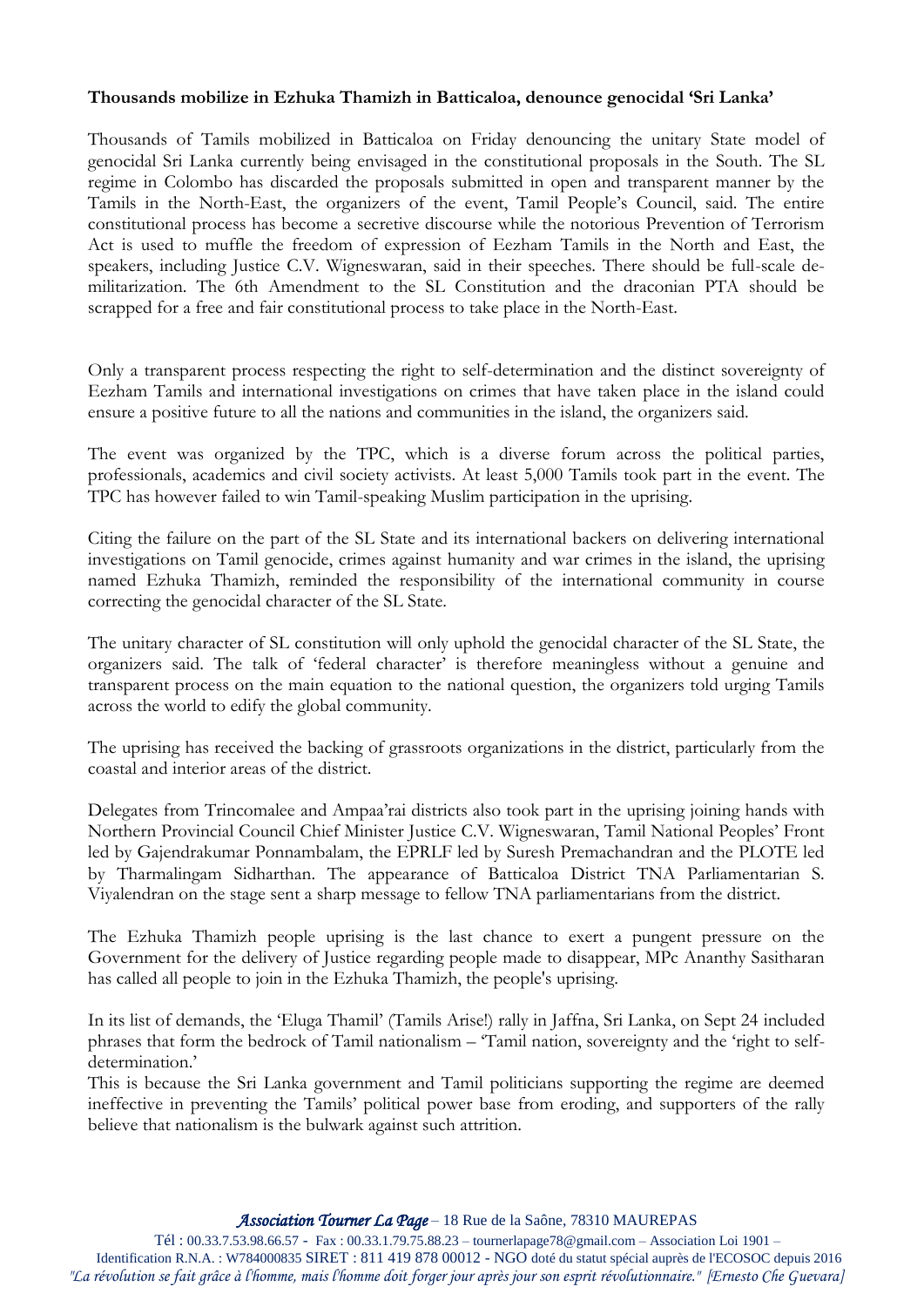## **Thousands mobilize in Ezhuka Thamizh in Batticaloa, denounce genocidal 'Sri Lanka'**

Thousands of Tamils mobilized in Batticaloa on Friday denouncing the unitary State model of genocidal Sri Lanka currently being envisaged in the constitutional proposals in the South. The SL regime in Colombo has discarded the proposals submitted in open and transparent manner by the Tamils in the North-East, the organizers of the event, Tamil People's Council, said. The entire constitutional process has become a secretive discourse while the notorious Prevention of Terrorism Act is used to muffle the freedom of expression of Eezham Tamils in the North and East, the speakers, including Justice C.V. Wigneswaran, said in their speeches. There should be full-scale demilitarization. The 6th Amendment to the SL Constitution and the draconian PTA should be scrapped for a free and fair constitutional process to take place in the North-East.

Only a transparent process respecting the right to self-determination and the distinct sovereignty of Eezham Tamils and international investigations on crimes that have taken place in the island could ensure a positive future to all the nations and communities in the island, the organizers said.

The event was organized by the TPC, which is a diverse forum across the political parties, professionals, academics and civil society activists. At least 5,000 Tamils took part in the event. The TPC has however failed to win Tamil-speaking Muslim participation in the uprising.

Citing the failure on the part of the SL State and its international backers on delivering international investigations on Tamil genocide, crimes against humanity and war crimes in the island, the uprising named Ezhuka Thamizh, reminded the responsibility of the international community in course correcting the genocidal character of the SL State.

The unitary character of SL constitution will only uphold the genocidal character of the SL State, the organizers said. The talk of 'federal character' is therefore meaningless without a genuine and transparent process on the main equation to the national question, the organizers told urging Tamils across the world to edify the global community.

The uprising has received the backing of grassroots organizations in the district, particularly from the coastal and interior areas of the district.

Delegates from Trincomalee and Ampaa'rai districts also took part in the uprising joining hands with Northern Provincial Council Chief Minister Justice C.V. Wigneswaran, Tamil National Peoples' Front led by Gajendrakumar Ponnambalam, the EPRLF led by Suresh Premachandran and the PLOTE led by Tharmalingam Sidharthan. The appearance of Batticaloa District TNA Parliamentarian S. Viyalendran on the stage sent a sharp message to fellow TNA parliamentarians from the district.

The Ezhuka Thamizh people uprising is the last chance to exert a pungent pressure on the Government for the delivery of Justice regarding people made to disappear, MPc Ananthy Sasitharan has called all people to join in the Ezhuka Thamizh, the people's uprising.

In its list of demands, the 'Eluga Thamil' (Tamils Arise!) rally in Jaffna, Sri Lanka, on Sept 24 included phrases that form the bedrock of Tamil nationalism – 'Tamil nation, sovereignty and the 'right to selfdetermination.'

This is because the Sri Lanka government and Tamil politicians supporting the regime are deemed ineffective in preventing the Tamils' political power base from eroding, and supporters of the rally believe that nationalism is the bulwark against such attrition.

Tél : 00.33.7.53.98.66.57 - Fax : 00.33.1.79.75.88.23 – tournerlapage78@gmail.com – Association Loi 1901 –

Identification R.N.A. : W784000835 SIRET : 811 419 878 00012 - NGO doté du statut spécial auprès de l'ECOSOC depuis 2016 *"La révolution se fait grâce à l'homme, mais l'homme doit forger jour après jour son esprit révolutionnaire." [Ernesto Che Guevara]*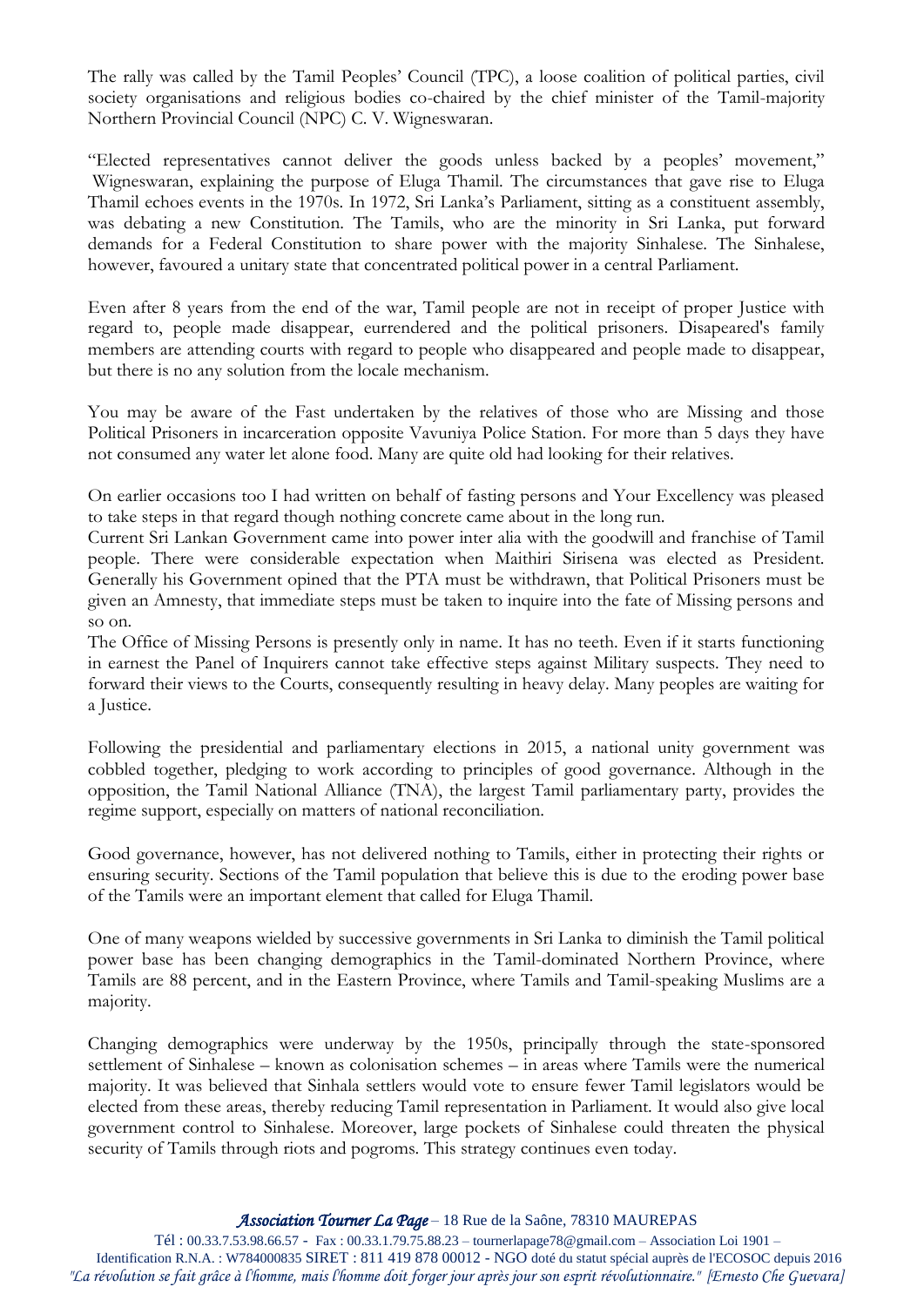The rally was called by the Tamil Peoples' Council (TPC), a loose coalition of political parties, civil society organisations and religious bodies co-chaired by the chief minister of the Tamil-majority Northern Provincial Council (NPC) C. V. Wigneswaran.

"Elected representatives cannot deliver the goods unless backed by a peoples' movement," Wigneswaran, explaining the purpose of Eluga Thamil. The circumstances that gave rise to Eluga Thamil echoes events in the 1970s. In 1972, Sri Lanka's Parliament, sitting as a constituent assembly, was debating a new Constitution. The Tamils, who are the minority in Sri Lanka, put forward demands for a Federal Constitution to share power with the majority Sinhalese. The Sinhalese, however, favoured a unitary state that concentrated political power in a central Parliament.

Even after 8 years from the end of the war, Tamil people are not in receipt of proper Justice with regard to, people made disappear, eurrendered and the political prisoners. Disapeared's family members are attending courts with regard to people who disappeared and people made to disappear, but there is no any solution from the locale mechanism.

You may be aware of the Fast undertaken by the relatives of those who are Missing and those Political Prisoners in incarceration opposite Vavuniya Police Station. For more than 5 days they have not consumed any water let alone food. Many are quite old had looking for their relatives.

On earlier occasions too I had written on behalf of fasting persons and Your Excellency was pleased to take steps in that regard though nothing concrete came about in the long run.

Current Sri Lankan Government came into power inter alia with the goodwill and franchise of Tamil people. There were considerable expectation when Maithiri Sirisena was elected as President. Generally his Government opined that the PTA must be withdrawn, that Political Prisoners must be given an Amnesty, that immediate steps must be taken to inquire into the fate of Missing persons and so on.

The Office of Missing Persons is presently only in name. It has no teeth. Even if it starts functioning in earnest the Panel of Inquirers cannot take effective steps against Military suspects. They need to forward their views to the Courts, consequently resulting in heavy delay. Many peoples are waiting for a Justice.

Following the presidential and parliamentary elections in 2015, a national unity government was cobbled together, pledging to work according to principles of good governance. Although in the opposition, the Tamil National Alliance (TNA), the largest Tamil parliamentary party, provides the regime support, especially on matters of national reconciliation.

Good governance, however, has not delivered nothing to Tamils, either in protecting their rights or ensuring security. Sections of the Tamil population that believe this is due to the eroding power base of the Tamils were an important element that called for Eluga Thamil.

One of many weapons wielded by successive governments in Sri Lanka to diminish the Tamil political power base has been changing demographics in the Tamil-dominated Northern Province, where Tamils are 88 percent, and in the Eastern Province, where Tamils and Tamil-speaking Muslims are a majority.

Changing demographics were underway by the 1950s, principally through the state-sponsored settlement of Sinhalese – known as colonisation schemes – in areas where Tamils were the numerical majority. It was believed that Sinhala settlers would vote to ensure fewer Tamil legislators would be elected from these areas, thereby reducing Tamil representation in Parliament. It would also give local government control to Sinhalese. Moreover, large pockets of Sinhalese could threaten the physical security of Tamils through riots and pogroms. This strategy continues even today.

Tél : 00.33.7.53.98.66.57 - Fax : 00.33.1.79.75.88.23 – tournerlapage78@gmail.com – Association Loi 1901 – Identification R.N.A. : W784000835 SIRET : 811 419 878 00012 - NGO doté du statut spécial auprès de l'ECOSOC depuis 2016 *"La révolution se fait grâce à l'homme, mais l'homme doit forger jour après jour son esprit révolutionnaire." [Ernesto Che Guevara]*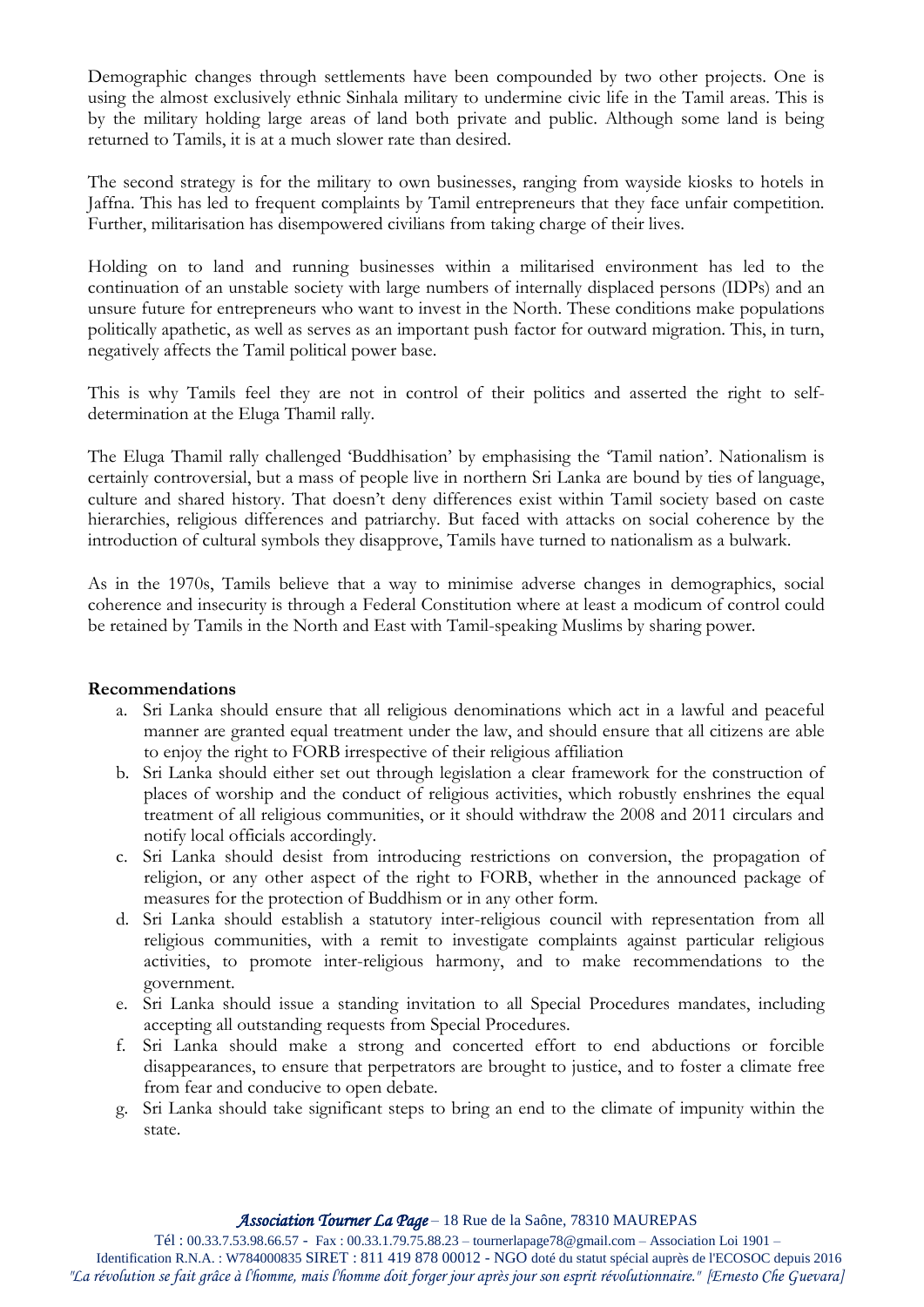Demographic changes through settlements have been compounded by two other projects. One is using the almost exclusively ethnic Sinhala military to undermine civic life in the Tamil areas. This is by the military holding large areas of land both private and public. Although some land is being returned to Tamils, it is at a much slower rate than desired.

The second strategy is for the military to own businesses, ranging from wayside kiosks to hotels in Jaffna. This has led to frequent complaints by Tamil entrepreneurs that they face unfair competition. Further, militarisation has disempowered civilians from taking charge of their lives.

Holding on to land and running businesses within a militarised environment has led to the continuation of an unstable society with large numbers of internally displaced persons (IDPs) and an unsure future for entrepreneurs who want to invest in the North. These conditions make populations politically apathetic, as well as serves as an important push factor for outward migration. This, in turn, negatively affects the Tamil political power base.

This is why Tamils feel they are not in control of their politics and asserted the right to selfdetermination at the Eluga Thamil rally.

The Eluga Thamil rally challenged 'Buddhisation' by emphasising the 'Tamil nation'. Nationalism is certainly controversial, but a mass of people live in northern Sri Lanka are bound by ties of language, culture and shared history. That doesn't deny differences exist within Tamil society based on caste hierarchies, religious differences and patriarchy. But faced with attacks on social coherence by the introduction of cultural symbols they disapprove, Tamils have turned to nationalism as a bulwark.

As in the 1970s, Tamils believe that a way to minimise adverse changes in demographics, social coherence and insecurity is through a Federal Constitution where at least a modicum of control could be retained by Tamils in the North and East with Tamil-speaking Muslims by sharing power.

## **Recommendations**

- a. Sri Lanka should ensure that all religious denominations which act in a lawful and peaceful manner are granted equal treatment under the law, and should ensure that all citizens are able to enjoy the right to FORB irrespective of their religious affiliation
- b. Sri Lanka should either set out through legislation a clear framework for the construction of places of worship and the conduct of religious activities, which robustly enshrines the equal treatment of all religious communities, or it should withdraw the 2008 and 2011 circulars and notify local officials accordingly.
- c. Sri Lanka should desist from introducing restrictions on conversion, the propagation of religion, or any other aspect of the right to FORB, whether in the announced package of measures for the protection of Buddhism or in any other form.
- d. Sri Lanka should establish a statutory inter-religious council with representation from all religious communities, with a remit to investigate complaints against particular religious activities, to promote inter-religious harmony, and to make recommendations to the government.
- e. Sri Lanka should issue a standing invitation to all Special Procedures mandates, including accepting all outstanding requests from Special Procedures.
- f. Sri Lanka should make a strong and concerted effort to end abductions or forcible disappearances, to ensure that perpetrators are brought to justice, and to foster a climate free from fear and conducive to open debate.
- g. Sri Lanka should take significant steps to bring an end to the climate of impunity within the state.

Tél : 00.33.7.53.98.66.57 - Fax : 00.33.1.79.75.88.23 – tournerlapage78@gmail.com – Association Loi 1901 –

Identification R.N.A. : W784000835 SIRET : 811 419 878 00012 - NGO doté du statut spécial auprès de l'ECOSOC depuis 2016 *"La révolution se fait grâce à l'homme, mais l'homme doit forger jour après jour son esprit révolutionnaire." [Ernesto Che Guevara]*